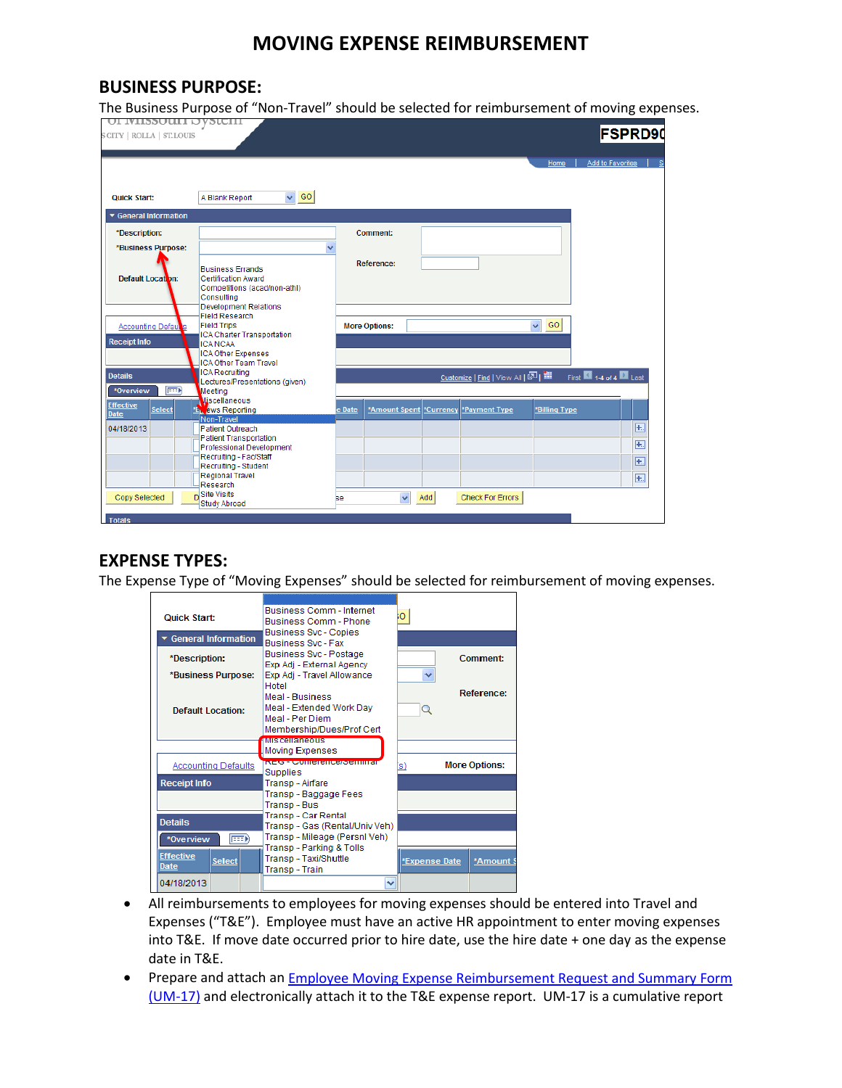# **MOVING EXPENSE REIMBURSEMENT**

#### **BUSINESS PURPOSE:**

The Business Purpose of "Non-Travel" should be selected for reimbursement of moving expenses.

|                              |                                                                                                                                                                                                                                                                                                                                                                                                                                                                                             |                         |                                                       |                         |                                       | <b>FSPRD90</b>                                                             |                      |
|------------------------------|---------------------------------------------------------------------------------------------------------------------------------------------------------------------------------------------------------------------------------------------------------------------------------------------------------------------------------------------------------------------------------------------------------------------------------------------------------------------------------------------|-------------------------|-------------------------------------------------------|-------------------------|---------------------------------------|----------------------------------------------------------------------------|----------------------|
|                              |                                                                                                                                                                                                                                                                                                                                                                                                                                                                                             |                         |                                                       |                         | Home                                  | Add to Favorites                                                           | - Si                 |
| $\vee$ GO<br>A Blank Report  |                                                                                                                                                                                                                                                                                                                                                                                                                                                                                             |                         |                                                       |                         |                                       |                                                                            |                      |
|                              |                                                                                                                                                                                                                                                                                                                                                                                                                                                                                             |                         |                                                       |                         |                                       |                                                                            |                      |
|                              |                                                                                                                                                                                                                                                                                                                                                                                                                                                                                             |                         |                                                       |                         |                                       |                                                                            |                      |
|                              |                                                                                                                                                                                                                                                                                                                                                                                                                                                                                             |                         |                                                       |                         |                                       |                                                                            |                      |
|                              |                                                                                                                                                                                                                                                                                                                                                                                                                                                                                             |                         |                                                       |                         |                                       |                                                                            |                      |
|                              |                                                                                                                                                                                                                                                                                                                                                                                                                                                                                             |                         |                                                       |                         |                                       |                                                                            |                      |
| Competitions (acad/non-athl) |                                                                                                                                                                                                                                                                                                                                                                                                                                                                                             |                         |                                                       |                         |                                       |                                                                            |                      |
|                              |                                                                                                                                                                                                                                                                                                                                                                                                                                                                                             |                         |                                                       |                         |                                       |                                                                            |                      |
| <b>Field Research</b>        |                                                                                                                                                                                                                                                                                                                                                                                                                                                                                             |                         |                                                       |                         |                                       |                                                                            |                      |
|                              |                                                                                                                                                                                                                                                                                                                                                                                                                                                                                             |                         |                                                       |                         |                                       |                                                                            |                      |
| <b>ICA NCAA</b>              |                                                                                                                                                                                                                                                                                                                                                                                                                                                                                             |                         |                                                       |                         |                                       |                                                                            |                      |
|                              |                                                                                                                                                                                                                                                                                                                                                                                                                                                                                             |                         |                                                       |                         |                                       |                                                                            |                      |
| <b>ICA Recruiting</b>        |                                                                                                                                                                                                                                                                                                                                                                                                                                                                                             |                         |                                                       |                         |                                       |                                                                            |                      |
|                              |                                                                                                                                                                                                                                                                                                                                                                                                                                                                                             |                         |                                                       |                         |                                       |                                                                            |                      |
| Miscellaneous                |                                                                                                                                                                                                                                                                                                                                                                                                                                                                                             |                         |                                                       |                         |                                       |                                                                            |                      |
|                              |                                                                                                                                                                                                                                                                                                                                                                                                                                                                                             |                         |                                                       |                         |                                       |                                                                            |                      |
| <b>Patient Outreach</b>      |                                                                                                                                                                                                                                                                                                                                                                                                                                                                                             |                         |                                                       |                         |                                       |                                                                            | 围                    |
|                              |                                                                                                                                                                                                                                                                                                                                                                                                                                                                                             |                         |                                                       |                         |                                       |                                                                            | $\overline{+}$       |
| Recruiting - Fac/Staff       |                                                                                                                                                                                                                                                                                                                                                                                                                                                                                             |                         |                                                       |                         |                                       |                                                                            | F.                   |
|                              |                                                                                                                                                                                                                                                                                                                                                                                                                                                                                             |                         |                                                       |                         |                                       |                                                                            | $\overline{+}$       |
| Research                     |                                                                                                                                                                                                                                                                                                                                                                                                                                                                                             |                         |                                                       |                         |                                       |                                                                            |                      |
|                              | ве.                                                                                                                                                                                                                                                                                                                                                                                                                                                                                         | $\overline{\mathbf{v}}$ |                                                       | <b>Check For Errors</b> |                                       |                                                                            |                      |
|                              | <b>Business Errands</b><br><b>Certification Award</b><br>Consulting<br><b>Development Relations</b><br><b>Field Trips</b><br><b>ICA Charter Transportation</b><br><b>ICA Other Expenses</b><br><b>ICA Other Team Travel</b><br>Lectures/Presentations (given)<br>Meeting<br><b>EXT</b> ews Reporting<br>Non-Travel<br><b>Patient Transportation</b><br><b>Professional Development</b><br>Recruiting - Student<br><b>Regional Travel</b><br><sub>D</sub> Site Visits<br><b>Study Abroad</b> | v<br>e Date             | Comment:<br><b>Reference:</b><br><b>More Options:</b> | Add                     | *Amount Spent *Currency *Payment Type | GO<br>$\checkmark$<br>Customize   Find   View All   조   배<br>*Billing Type | First 14 of 4 2 Last |

### **EXPENSE TYPES:**

The Expense Type of "Moving Expenses" should be selected for reimbursement of moving expenses.

| <b>Quick Start:</b>                       | <b>Business Comm - Internet</b><br><b>Business Comm - Phone</b>                             | ю                           |
|-------------------------------------------|---------------------------------------------------------------------------------------------|-----------------------------|
| ▼ General Information                     | Business Svc - Copies<br><b>Business Svc - Fax</b>                                          |                             |
| *Description:                             | Business Svc - Postage<br>Exp Adj - External Agency                                         | Comment:                    |
| *Business Purpose:                        | Exp Adj - Travel Allowance<br>Hotel                                                         | $\checkmark$                |
| <b>Default Location:</b>                  | Meal - Business<br>Meal - Extended Work Day<br>Meal - Per Diem<br>Membership/Dues/Prof Cert | Reference:<br>Q             |
|                                           | <b>ANIENSIE IN DEUTSCHE</b><br><b>Moving Expenses</b>                                       |                             |
| <b>Accounting Defaults</b>                | <b>MESS REVOLUTERED REPORT OF A DIST</b><br>Supplies                                        | <b>More Options:</b><br>'s) |
| <b>Receipt Info</b>                       | Transp - Airfare                                                                            |                             |
|                                           | Transp - Baggage Fees<br>Transp - Bus                                                       |                             |
| <b>Details</b>                            | Transp - Car Rental<br>Transp - Gas (Rental/Univ Veh)                                       |                             |
| $\boxed{=}$<br>*Overview                  | Transp - Mileage (Persnl Veh)                                                               |                             |
| <b>Effective</b><br><b>Select</b><br>Date | Transp - Parking & Tolls<br>Transp - Taxi/Shuttle<br>Transp - Train                         | *Expense Date<br>*Amount \$ |
|                                           |                                                                                             |                             |

- All reimbursements to employees for moving expenses should be entered into Travel and Expenses ("T&E"). Employee must have an active HR appointment to enter moving expenses into T&E. If move date occurred prior to hire date, use the hire date + one day as the expense date in T&E.
- Prepare and attach an **Employee Moving Expense Reimbursement Request and Summary Form** [\(UM-17\)](http://www.umsystem.edu/ums/fa/management/records/forms/finance/) and electronically attach it to the T&E expense report. UM-17 is a cumulative report